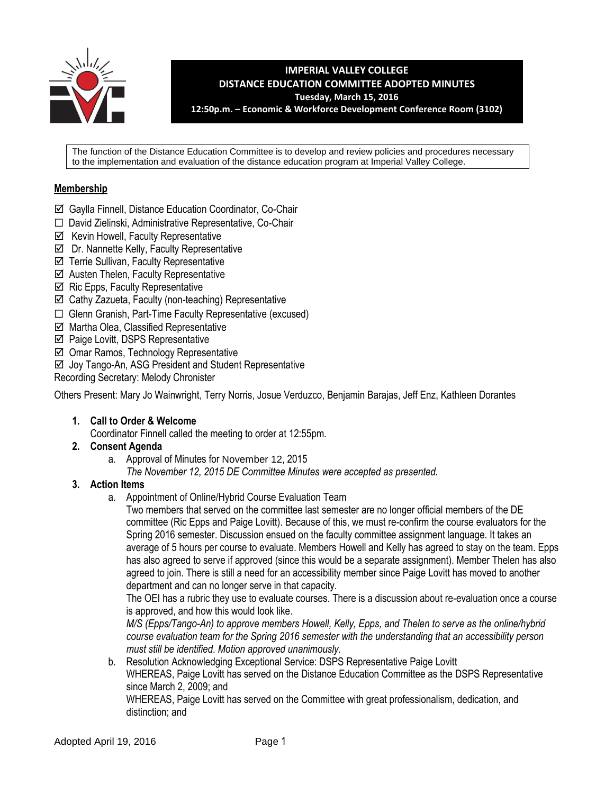

**IMPERIAL VALLEY COLLEGE DISTANCE EDUCATION COMMITTEE ADOPTED MINUTES Tuesday, March 15, 2016 12:50p.m. – Economic & Workforce Development Conference Room (3102)**

The function of the Distance Education Committee is to develop and review policies and procedures necessary to the implementation and evaluation of the distance education program at Imperial Valley College.

# **Membership**

- Gaylla Finnell, Distance Education Coordinator, Co-Chair
- ☐ David Zielinski, Administrative Representative, Co-Chair
- $\boxtimes$  Kevin Howell, Faculty Representative
- $\boxtimes$  Dr. Nannette Kelly, Faculty Representative
- $\boxtimes$  Terrie Sullivan, Faculty Representative
- $\boxtimes$  Austen Thelen, Faculty Representative
- $\boxtimes$  Ric Epps, Faculty Representative
- $\boxtimes$  Cathy Zazueta, Faculty (non-teaching) Representative
- ☐ Glenn Granish, Part-Time Faculty Representative (excused)
- $\boxtimes$  Martha Olea, Classified Representative
- $\boxtimes$  Paige Lovitt, DSPS Representative
- Omar Ramos, Technology Representative
- ⊠ Joy Tango-An, ASG President and Student Representative
- Recording Secretary: Melody Chronister

Others Present: Mary Jo Wainwright, Terry Norris, Josue Verduzco, Benjamin Barajas, Jeff Enz, Kathleen Dorantes

**1. Call to Order & Welcome**

Coordinator Finnell called the meeting to order at 12:55pm.

- **2. Consent Agenda**
	- a. Approval of Minutes for November 12, 2015
		- *The November 12, 2015 DE Committee Minutes were accepted as presented.*

### **3. Action Items**

a. Appointment of Online/Hybrid Course Evaluation Team

Two members that served on the committee last semester are no longer official members of the DE committee (Ric Epps and Paige Lovitt). Because of this, we must re-confirm the course evaluators for the Spring 2016 semester. Discussion ensued on the faculty committee assignment language. It takes an average of 5 hours per course to evaluate. Members Howell and Kelly has agreed to stay on the team. Epps has also agreed to serve if approved (since this would be a separate assignment). Member Thelen has also agreed to join. There is still a need for an accessibility member since Paige Lovitt has moved to another department and can no longer serve in that capacity.

The OEI has a rubric they use to evaluate courses. There is a discussion about re-evaluation once a course is approved, and how this would look like.

*M/S (Epps/Tango-An) to approve members Howell, Kelly, Epps, and Thelen to serve as the online/hybrid course evaluation team for the Spring 2016 semester with the understanding that an accessibility person must still be identified. Motion approved unanimously.* 

b. Resolution Acknowledging Exceptional Service: DSPS Representative Paige Lovitt

WHEREAS, Paige Lovitt has served on the Distance Education Committee as the DSPS Representative since March 2, 2009; and

WHEREAS, Paige Lovitt has served on the Committee with great professionalism, dedication, and distinction; and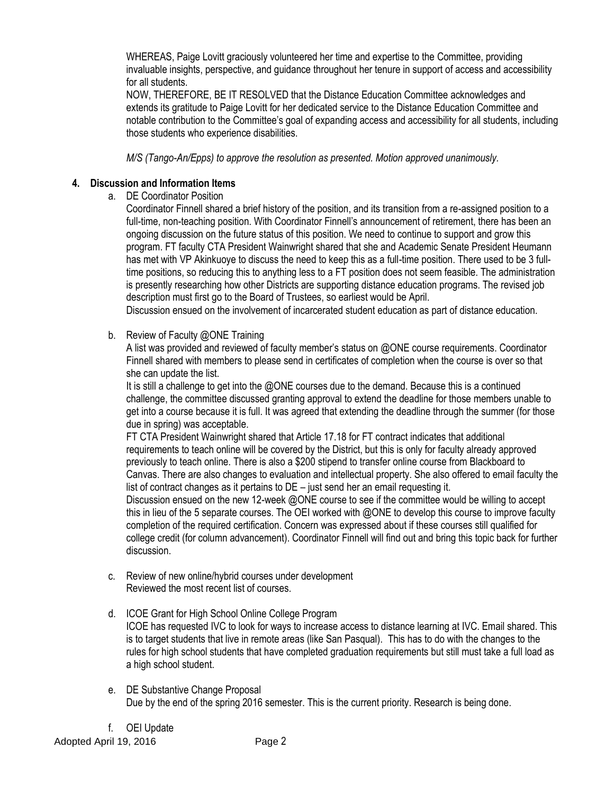WHEREAS, Paige Lovitt graciously volunteered her time and expertise to the Committee, providing invaluable insights, perspective, and guidance throughout her tenure in support of access and accessibility for all students.

NOW, THEREFORE, BE IT RESOLVED that the Distance Education Committee acknowledges and extends its gratitude to Paige Lovitt for her dedicated service to the Distance Education Committee and notable contribution to the Committee's goal of expanding access and accessibility for all students, including those students who experience disabilities.

*M/S (Tango-An/Epps) to approve the resolution as presented. Motion approved unanimously.* 

# **4. Discussion and Information Items**

a. DE Coordinator Position

Coordinator Finnell shared a brief history of the position, and its transition from a re-assigned position to a full-time, non-teaching position. With Coordinator Finnell's announcement of retirement, there has been an ongoing discussion on the future status of this position. We need to continue to support and grow this program. FT faculty CTA President Wainwright shared that she and Academic Senate President Heumann has met with VP Akinkuoye to discuss the need to keep this as a full-time position. There used to be 3 fulltime positions, so reducing this to anything less to a FT position does not seem feasible. The administration is presently researching how other Districts are supporting distance education programs. The revised job description must first go to the Board of Trustees, so earliest would be April.

Discussion ensued on the involvement of incarcerated student education as part of distance education.

b. Review of Faculty @ONE Training

A list was provided and reviewed of faculty member's status on @ONE course requirements. Coordinator Finnell shared with members to please send in certificates of completion when the course is over so that she can update the list.

It is still a challenge to get into the @ONE courses due to the demand. Because this is a continued challenge, the committee discussed granting approval to extend the deadline for those members unable to get into a course because it is full. It was agreed that extending the deadline through the summer (for those due in spring) was acceptable.

FT CTA President Wainwright shared that Article 17.18 for FT contract indicates that additional requirements to teach online will be covered by the District, but this is only for faculty already approved previously to teach online. There is also a \$200 stipend to transfer online course from Blackboard to Canvas. There are also changes to evaluation and intellectual property. She also offered to email faculty the list of contract changes as it pertains to DE – just send her an email requesting it.

Discussion ensued on the new 12-week @ONE course to see if the committee would be willing to accept this in lieu of the 5 separate courses. The OEI worked with @ONE to develop this course to improve faculty completion of the required certification. Concern was expressed about if these courses still qualified for college credit (for column advancement). Coordinator Finnell will find out and bring this topic back for further discussion.

c. Review of new online/hybrid courses under development Reviewed the most recent list of courses.

### d. ICOE Grant for High School Online College Program ICOE has requested IVC to look for ways to increase access to distance learning at IVC. Email shared. This is to target students that live in remote areas (like San Pasqual). This has to do with the changes to the rules for high school students that have completed graduation requirements but still must take a full load as a high school student.

e. DE Substantive Change Proposal Due by the end of the spring 2016 semester. This is the current priority. Research is being done.

f. OEI Update